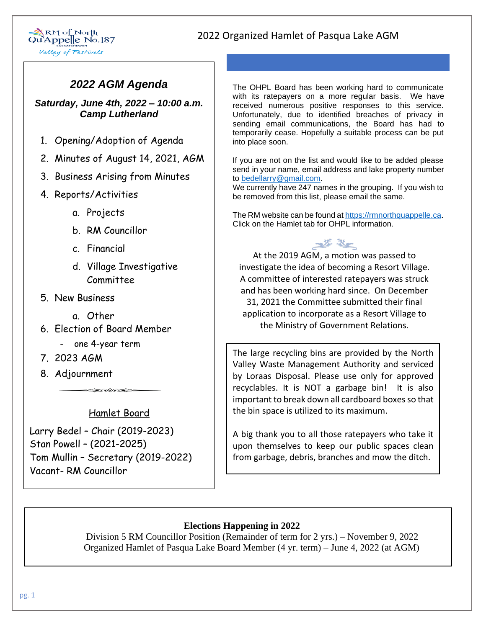

### *2022 AGM Agenda*

*Saturday, June 4th, 2022 – 10:00 a.m. Camp Lutherland*

- 1. Opening/Adoption of Agenda
- 2. Minutes of August 14, 2021, AGM
- 3. Business Arising from Minutes
- 4. Reports/Activities
	- a. Projects
	- b. RM Councillor
	- c. Financial
	- d. Village Investigative Committee
- 5. New Business
	- a. Other
- 6. Election of Board Member
	- one 4-year term
- 7. 2023 AGM
- 8. Adjournment

Hamlet Board

 $\blacktriangleright$ 

Larry Bedel – Chair (2019-2023) Stan Powell – (2021-2025) Tom Mullin – Secretary (2019-2022) Vacant- RM Councillor

The OHPL Board has been working hard to communicate with its ratepayers on a more regular basis. We have received numerous positive responses to this service. Unfortunately, due to identified breaches of privacy in sending email communications, the Board has had to temporarily cease. Hopefully a suitable process can be put into place soon.

If you are not on the list and would like to be added please send in your name, email address and lake property number to [bedellarry@gmail.com.](mailto:bedellarry@gmail.com)

We currently have 247 names in the grouping. If you wish to be removed from this list, please email the same.

The RM website can be found at [https://rmnorthquappelle.ca.](https://rmnorthquappelle.ca/) Click on the Hamlet tab for OHPL information.

婆婆

At the 2019 AGM, a motion was passed to investigate the idea of becoming a Resort Village. A committee of interested ratepayers was struck and has been working hard since. On December 31, 2021 the Committee submitted their final application to incorporate as a Resort Village to the Ministry of Government Relations.

The large recycling bins are provided by the North Valley Waste Management Authority and serviced by Loraas Disposal. Please use only for approved recyclables. It is NOT a garbage bin! It is also important to break down all cardboard boxes so that the bin space is utilized to its maximum.

A big thank you to all those ratepayers who take it upon themselves to keep our public spaces clean from garbage, debris, branches and mow the ditch.

#### **Elections Happening in 2022**

 Division 5 RM Councillor Position (Remainder of term for 2 yrs.) – November 9, 2022 Organized Hamlet of Pasqua Lake Board Member (4 yr. term) – June 4, 2022 (at AGM)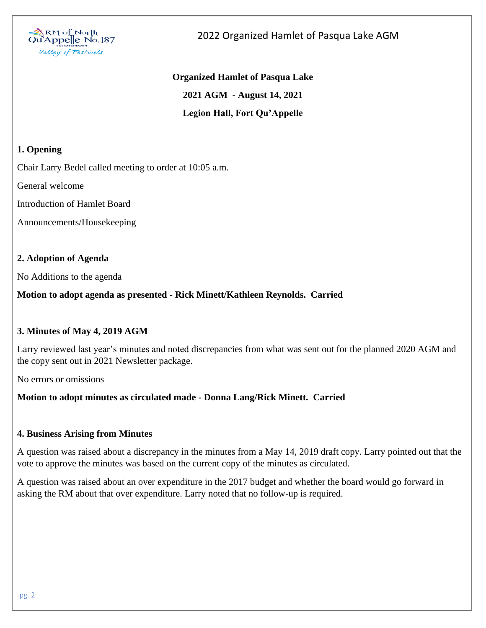

# **Organized Hamlet of Pasqua Lake 2021 AGM - August 14, 2021 Legion Hall, Fort Qu'Appelle**

#### **1. Opening**

Chair Larry Bedel called meeting to order at 10:05 a.m.

General welcome

Introduction of Hamlet Board

Announcements/Housekeeping

#### **2. Adoption of Agenda**

No Additions to the agenda

#### **Motion to adopt agenda as presented - Rick Minett/Kathleen Reynolds. Carried**

#### **3. Minutes of May 4, 2019 AGM**

Larry reviewed last year's minutes and noted discrepancies from what was sent out for the planned 2020 AGM and the copy sent out in 2021 Newsletter package.

No errors or omissions

#### **Motion to adopt minutes as circulated made - Donna Lang/Rick Minett. Carried**

#### **4. Business Arising from Minutes**

A question was raised about a discrepancy in the minutes from a May 14, 2019 draft copy. Larry pointed out that the vote to approve the minutes was based on the current copy of the minutes as circulated.

A question was raised about an over expenditure in the 2017 budget and whether the board would go forward in asking the RM about that over expenditure. Larry noted that no follow-up is required.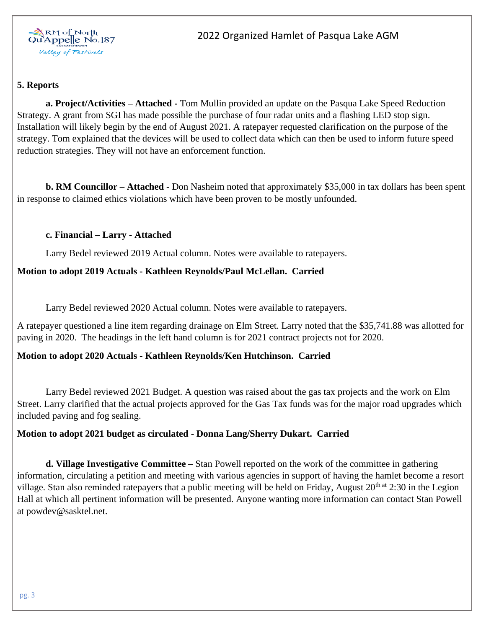

#### **5. Reports**

**a. Project/Activities – Attached -** Tom Mullin provided an update on the Pasqua Lake Speed Reduction Strategy. A grant from SGI has made possible the purchase of four radar units and a flashing LED stop sign. Installation will likely begin by the end of August 2021. A ratepayer requested clarification on the purpose of the strategy. Tom explained that the devices will be used to collect data which can then be used to inform future speed reduction strategies. They will not have an enforcement function.

**b. RM Councillor – Attached -** Don Nasheim noted that approximately \$35,000 in tax dollars has been spent in response to claimed ethics violations which have been proven to be mostly unfounded.

#### **c. Financial – Larry - Attached**

Larry Bedel reviewed 2019 Actual column. Notes were available to ratepayers.

#### **Motion to adopt 2019 Actuals - Kathleen Reynolds/Paul McLellan. Carried**

Larry Bedel reviewed 2020 Actual column. Notes were available to ratepayers.

A ratepayer questioned a line item regarding drainage on Elm Street. Larry noted that the \$35,741.88 was allotted for paving in 2020. The headings in the left hand column is for 2021 contract projects not for 2020.

#### **Motion to adopt 2020 Actuals - Kathleen Reynolds/Ken Hutchinson. Carried**

Larry Bedel reviewed 2021 Budget. A question was raised about the gas tax projects and the work on Elm Street. Larry clarified that the actual projects approved for the Gas Tax funds was for the major road upgrades which included paving and fog sealing.

#### **Motion to adopt 2021 budget as circulated - Donna Lang/Sherry Dukart. Carried**

**d. Village Investigative Committee –** Stan Powell reported on the work of the committee in gathering information, circulating a petition and meeting with various agencies in support of having the hamlet become a resort village. Stan also reminded ratepayers that a public meeting will be held on Friday, August  $20<sup>th at</sup> 2:30$  in the Legion Hall at which all pertinent information will be presented. Anyone wanting more information can contact Stan Powell at powdev@sasktel.net.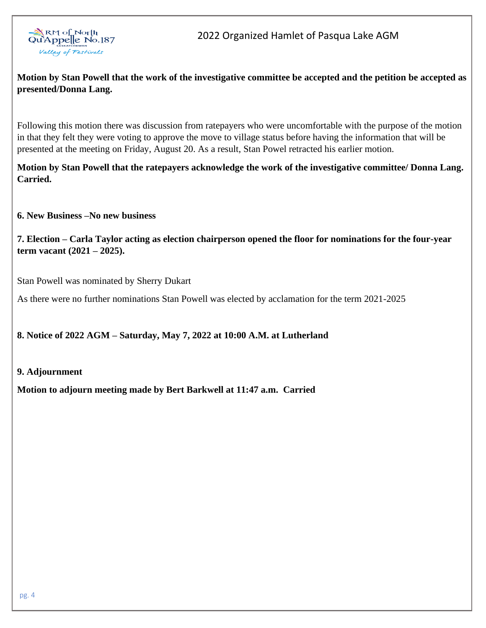

#### **Motion by Stan Powell that the work of the investigative committee be accepted and the petition be accepted as presented/Donna Lang.**

Following this motion there was discussion from ratepayers who were uncomfortable with the purpose of the motion in that they felt they were voting to approve the move to village status before having the information that will be presented at the meeting on Friday, August 20. As a result, Stan Powel retracted his earlier motion.

**Motion by Stan Powell that the ratepayers acknowledge the work of the investigative committee/ Donna Lang. Carried.**

**6. New Business –No new business**

**7. Election – Carla Taylor acting as election chairperson opened the floor for nominations for the four-year term vacant (2021 – 2025).**

Stan Powell was nominated by Sherry Dukart

As there were no further nominations Stan Powell was elected by acclamation for the term 2021-2025

#### **8. Notice of 2022 AGM – Saturday, May 7, 2022 at 10:00 A.M. at Lutherland**

#### **9. Adjournment**

**Motion to adjourn meeting made by Bert Barkwell at 11:47 a.m. Carried**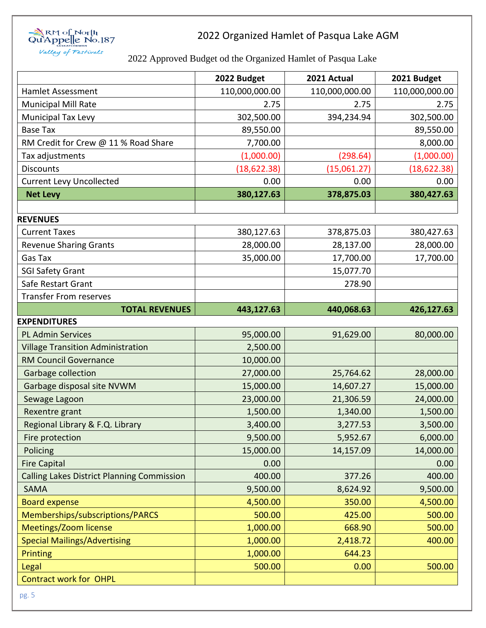

### 2022 Approved Budget od the Organized Hamlet of Pasqua Lake

|                                                   | 2022 Budget    | 2021 Actual    | 2021 Budget    |
|---------------------------------------------------|----------------|----------------|----------------|
| <b>Hamlet Assessment</b>                          | 110,000,000.00 | 110,000,000.00 | 110,000,000.00 |
| <b>Municipal Mill Rate</b>                        | 2.75           | 2.75           | 2.75           |
| <b>Municipal Tax Levy</b>                         | 302,500.00     | 394,234.94     | 302,500.00     |
| <b>Base Tax</b>                                   | 89,550.00      |                | 89,550.00      |
| RM Credit for Crew @ 11 % Road Share              | 7,700.00       |                | 8,000.00       |
| Tax adjustments                                   | (1,000.00)     | (298.64)       | (1,000.00)     |
| <b>Discounts</b>                                  | (18, 622.38)   | (15,061.27)    | (18, 622.38)   |
| <b>Current Levy Uncollected</b>                   | 0.00           | 0.00           | 0.00           |
| <b>Net Levy</b>                                   | 380,127.63     | 378,875.03     | 380,427.63     |
|                                                   |                |                |                |
| <b>REVENUES</b>                                   |                |                |                |
| <b>Current Taxes</b>                              | 380,127.63     | 378,875.03     | 380,427.63     |
| <b>Revenue Sharing Grants</b>                     | 28,000.00      | 28,137.00      | 28,000.00      |
| Gas Tax                                           | 35,000.00      | 17,700.00      | 17,700.00      |
| <b>SGI Safety Grant</b>                           |                | 15,077.70      |                |
| Safe Restart Grant                                |                | 278.90         |                |
| <b>Transfer From reserves</b>                     |                |                |                |
| <b>TOTAL REVENUES</b>                             | 443,127.63     | 440,068.63     | 426,127.63     |
| <b>EXPENDITURES</b>                               |                |                |                |
| <b>PL Admin Services</b>                          | 95,000.00      | 91,629.00      | 80,000.00      |
| <b>Village Transition Administration</b>          | 2,500.00       |                |                |
| <b>RM Council Governance</b>                      | 10,000.00      |                |                |
| Garbage collection                                | 27,000.00      | 25,764.62      | 28,000.00      |
| Garbage disposal site NVWM                        | 15,000.00      | 14,607.27      | 15,000.00      |
| Sewage Lagoon                                     | 23,000.00      | 21,306.59      | 24,000.00      |
| Rexentre grant                                    | 1,500.00       | 1,340.00       | 1,500.00       |
| Regional Library & F.Q. Library                   | 3,400.00       | 3,277.53       | 3,500.00       |
| Fire protection                                   | 9,500.00       | 5,952.67       | 6,000.00       |
| Policing                                          | 15,000.00      | 14,157.09      | 14,000.00      |
| <b>Fire Capital</b>                               | 0.00           |                | 0.00           |
| <b>Calling Lakes District Planning Commission</b> | 400.00         | 377.26         | 400.00         |
| <b>SAMA</b>                                       | 9,500.00       | 8,624.92       | 9,500.00       |
| <b>Board expense</b>                              | 4,500.00       | 350.00         | 4,500.00       |
| Memberships/subscriptions/PARCS                   | 500.00         | 425.00         | 500.00         |
| Meetings/Zoom license                             | 1,000.00       | 668.90         | 500.00         |
| <b>Special Mailings/Advertising</b>               | 1,000.00       | 2,418.72       | 400.00         |
| <b>Printing</b>                                   | 1,000.00       | 644.23         |                |
| Legal                                             | 500.00         | 0.00           | 500.00         |
| <b>Contract work for OHPL</b>                     |                |                |                |